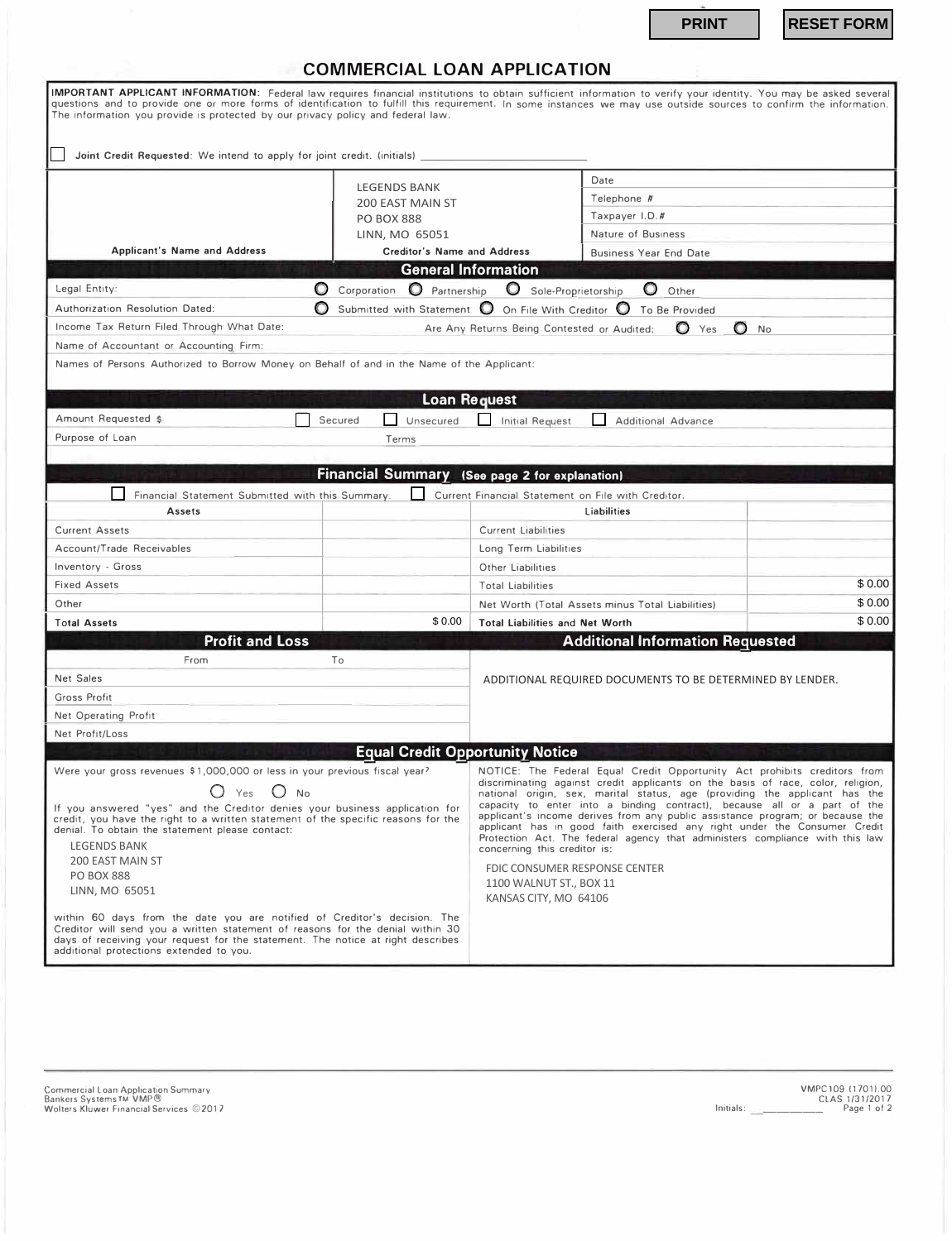| <b>COMMERCIAL LOAN APPLICATION</b> |  |  |
|------------------------------------|--|--|
|                                    |  |  |

|                                                                                                                                                                                                                                                                                           |                                                | <b>PRINT</b>                                                                                                                                                                                                                                                                                                                                           | <b>RESET FORM</b> |
|-------------------------------------------------------------------------------------------------------------------------------------------------------------------------------------------------------------------------------------------------------------------------------------------|------------------------------------------------|--------------------------------------------------------------------------------------------------------------------------------------------------------------------------------------------------------------------------------------------------------------------------------------------------------------------------------------------------------|-------------------|
|                                                                                                                                                                                                                                                                                           |                                                |                                                                                                                                                                                                                                                                                                                                                        |                   |
|                                                                                                                                                                                                                                                                                           | <b>COMMERCIAL LOAN APPLICATION</b>             |                                                                                                                                                                                                                                                                                                                                                        |                   |
| The information you provide is protected by our privacy policy and federal law.                                                                                                                                                                                                           |                                                | IMPORTANT APPLICANT INFORMATION: Federal law requires financial institutions to obtain sufficient information to verify your identity. You may be asked several<br>questions and to provide one or more forms of identification to fulfill this requirement. In some instances we may use outside sources to confirm the information.                  |                   |
| Joint Credit Requested: We intend to apply for joint credit. (initials)                                                                                                                                                                                                                   |                                                |                                                                                                                                                                                                                                                                                                                                                        |                   |
|                                                                                                                                                                                                                                                                                           |                                                | Date                                                                                                                                                                                                                                                                                                                                                   |                   |
|                                                                                                                                                                                                                                                                                           | <b>LEGENDS BANK</b><br><b>200 EAST MAIN ST</b> | Telephone #                                                                                                                                                                                                                                                                                                                                            |                   |
|                                                                                                                                                                                                                                                                                           | <b>PO BOX 888</b>                              | Taxpayer I.D.#                                                                                                                                                                                                                                                                                                                                         |                   |
|                                                                                                                                                                                                                                                                                           | LINN, MO 65051                                 | Nature of Business                                                                                                                                                                                                                                                                                                                                     |                   |
| <b>Applicant's Name and Address</b>                                                                                                                                                                                                                                                       | <b>Creditor's Name and Address</b>             | <b>Business Year End Date</b>                                                                                                                                                                                                                                                                                                                          |                   |
|                                                                                                                                                                                                                                                                                           |                                                | <b>General Information</b>                                                                                                                                                                                                                                                                                                                             |                   |
| Legal Entity:                                                                                                                                                                                                                                                                             | O<br><b>O</b> Partnership<br>Corporation       | Sole-Proprietorship<br>O<br>Other                                                                                                                                                                                                                                                                                                                      |                   |
| Authorization Resolution Dated:                                                                                                                                                                                                                                                           |                                                | Submitted with Statement $\bigcirc$ On File With Creditor $\bigcirc$ To Be Provided                                                                                                                                                                                                                                                                    |                   |
| Income Tax Return Filed Through What Date:                                                                                                                                                                                                                                                |                                                | Are Any Returns Being Contested or Audited:<br>O.<br>Yes<br>O                                                                                                                                                                                                                                                                                          | <b>No</b>         |
| Name of Accountant or Accounting Firm:                                                                                                                                                                                                                                                    |                                                |                                                                                                                                                                                                                                                                                                                                                        |                   |
| Names of Persons Authorized to Borrow Money on Behalf of and in the Name of the Applicant:                                                                                                                                                                                                |                                                |                                                                                                                                                                                                                                                                                                                                                        |                   |
|                                                                                                                                                                                                                                                                                           |                                                | <b>Loan Request</b>                                                                                                                                                                                                                                                                                                                                    |                   |
| Amount Requested \$                                                                                                                                                                                                                                                                       | Secured<br>Unsecured                           | <b>Initial Request</b><br><b>Additional Advance</b>                                                                                                                                                                                                                                                                                                    |                   |
| Purpose of Loan                                                                                                                                                                                                                                                                           | Terms                                          |                                                                                                                                                                                                                                                                                                                                                        |                   |
|                                                                                                                                                                                                                                                                                           |                                                |                                                                                                                                                                                                                                                                                                                                                        |                   |
|                                                                                                                                                                                                                                                                                           |                                                | <b>Financial Summary</b> (See page 2 for explanation)                                                                                                                                                                                                                                                                                                  |                   |
| Financial Statement Submitted with this Summary.                                                                                                                                                                                                                                          |                                                | Current Financial Statement on File with Creditor.                                                                                                                                                                                                                                                                                                     |                   |
| <b>Assets</b>                                                                                                                                                                                                                                                                             |                                                | <b>Liabilities</b>                                                                                                                                                                                                                                                                                                                                     |                   |
| <b>Current Assets</b>                                                                                                                                                                                                                                                                     |                                                | <b>Current Liabilities</b>                                                                                                                                                                                                                                                                                                                             |                   |
| Account/Trade Receivables                                                                                                                                                                                                                                                                 |                                                | Long Term Liabilities                                                                                                                                                                                                                                                                                                                                  |                   |
| Inventory - Gross                                                                                                                                                                                                                                                                         |                                                | Other Liabilities                                                                                                                                                                                                                                                                                                                                      |                   |
| <b>Fixed Assets</b>                                                                                                                                                                                                                                                                       |                                                | <b>Total Liabilities</b>                                                                                                                                                                                                                                                                                                                               | \$0.00            |
| Other                                                                                                                                                                                                                                                                                     |                                                | Net Worth (Total Assets minus Total Liabilities)                                                                                                                                                                                                                                                                                                       | \$0.00            |
| <b>Total Assets</b>                                                                                                                                                                                                                                                                       | \$0.00                                         | <b>Total Liabilities and Net Worth</b>                                                                                                                                                                                                                                                                                                                 | \$0.00            |
| <b>Profit and Loss</b>                                                                                                                                                                                                                                                                    |                                                | <b>Additional Information Requested</b>                                                                                                                                                                                                                                                                                                                |                   |
| From                                                                                                                                                                                                                                                                                      | To                                             |                                                                                                                                                                                                                                                                                                                                                        |                   |
| <b>Net Sales</b>                                                                                                                                                                                                                                                                          |                                                | ADDITIONAL REQUIRED DOCUMENTS TO BE DETERMINED BY LENDER.                                                                                                                                                                                                                                                                                              |                   |
| Gross Profit                                                                                                                                                                                                                                                                              |                                                |                                                                                                                                                                                                                                                                                                                                                        |                   |
| Net Operating Profit                                                                                                                                                                                                                                                                      |                                                |                                                                                                                                                                                                                                                                                                                                                        |                   |
| Net Profit/Loss                                                                                                                                                                                                                                                                           |                                                |                                                                                                                                                                                                                                                                                                                                                        |                   |
|                                                                                                                                                                                                                                                                                           | <b>Equal Credit Opportunity Notice</b>         |                                                                                                                                                                                                                                                                                                                                                        |                   |
| Were your gross revenues \$1,000,000 or less in your previous fiscal year?<br>() Yes () No                                                                                                                                                                                                |                                                | NOTICE: The Federal Equal Credit Opportunity Act prohibits creditors from<br>discriminating against credit applicants on the basis of race, color, religion,<br>national origin, sex, marital status, age (providing the applicant has the                                                                                                             |                   |
| If you answered "yes" and the Creditor denies your business application for<br>credit, you have the right to a written statement of the specific reasons for the<br>denial. To obtain the statement please contact:<br><b>LEGENDS BANK</b>                                                |                                                | capacity to enter into a binding contract), because all or a part of the<br>applicant's income derives from any public assistance program; or because the<br>applicant has in good faith exercised any right under the Consumer Credit<br>Protection Act. The federal agency that administers compliance with this law<br>concerning this creditor is: |                   |
| 200 EAST MAIN ST                                                                                                                                                                                                                                                                          |                                                | FDIC CONSUMER RESPONSE CENTER                                                                                                                                                                                                                                                                                                                          |                   |
| <b>PO BOX 888</b><br>LINN, MO 65051                                                                                                                                                                                                                                                       |                                                | 1100 WALNUT ST., BOX 11<br>KANSAS CITY, MO 64106                                                                                                                                                                                                                                                                                                       |                   |
| within 60 days from the date you are notified of Creditor's decision. The<br>Creditor will send you a written statement of reasons for the denial within 30<br>days of receiving your request for the statement. The notice at right describes<br>additional protections extended to you. |                                                |                                                                                                                                                                                                                                                                                                                                                        |                   |

VMPC109 11701).00 CLAS 1/31/2017 **Initials: \_\_\_\_\_\_ Page 1 of 2**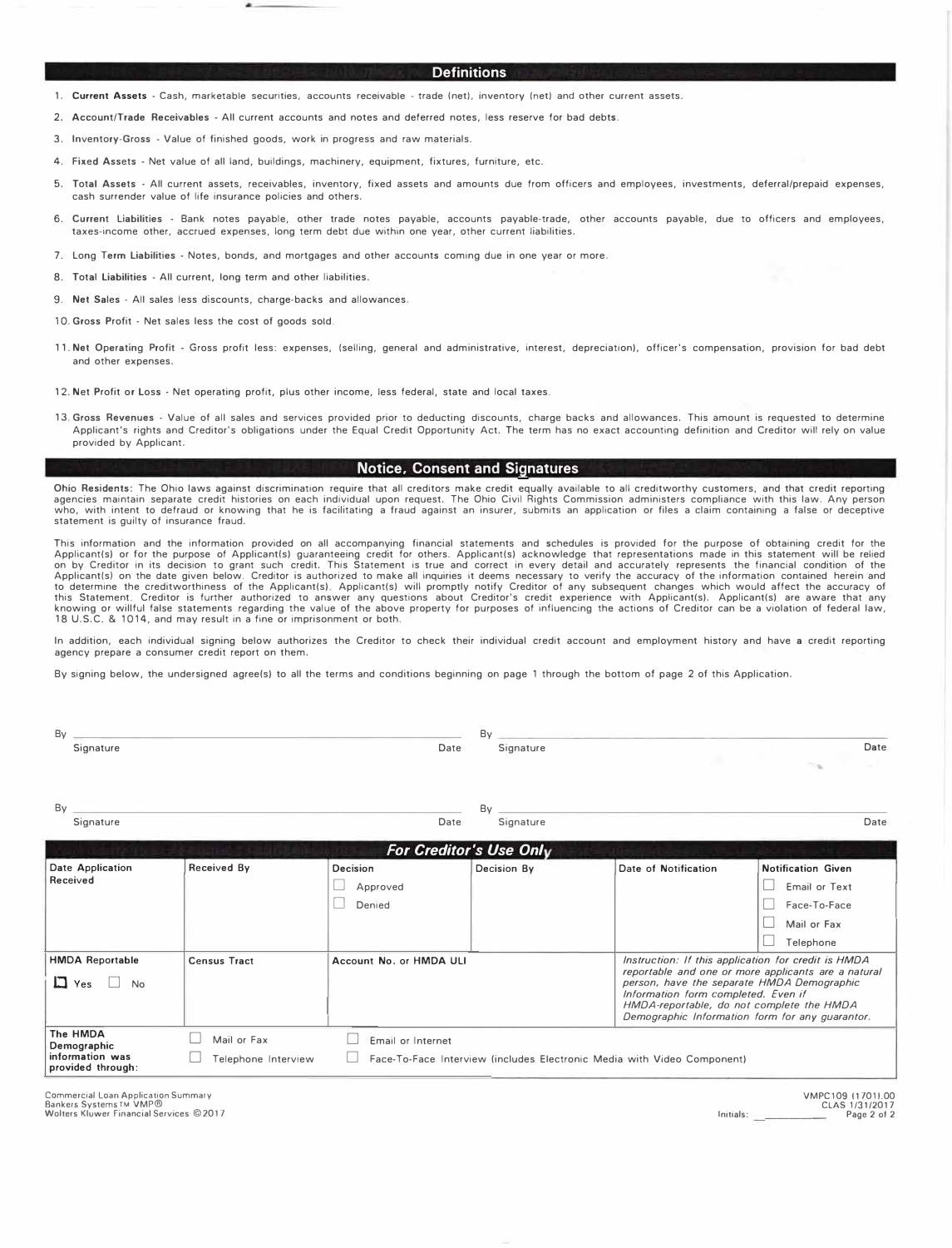#### **Definitions**

- **1. Current Assets - Cash, marketable securities, accounts receivable - trade (net). inventory (net) and other current assets.**
- 2. Account/Trade Receivables All current accounts and notes and deferred notes, less reserve for bad debts.
- **3.** Inventory-Gross Value ot finished goods, work in progress and raw materials.
- **4.** Fixed Assets Net value ot all land, buildings, machinery, equipment, fixtures, furniture, etc.
- 5. Total Assets All current assets, receivables, inventory, fixed assets and amounts due from officers and employees, investments, deferral/prepaid expenses, cash surrender value ot life insurance policies and others.
- **6.** Current Liabilities Bank notes payable, other trade notes payable, accounts payable-trade, other accounts payable, due to otticers and employees, taxes-income other, accrued expenses, long term debt due within one year, other current liabilities.
- **7.** Long Term Liabilities Notes, bonds, and mortgages and other accounts coming due in one year or more.
- 8. Total Liabilities All current, long term and other liabilities.
- 9. **Net** Sales All sales less discounts, charge-backs and allowances.
- 10. Gross Profit Net sales less the cost of goods sold.
- 11. **Net** Operating Profit Gross profit less: expenses, (selling, general and administrative, interest, depreciation). officer's compensation, provision tor bad debt and other expenses.
- **12.** Net Profit or Loss Net operating profit, plus other income, less federal, state and local taxes.
- 13. **Gross Revenues**  Value ot all sales and services provided prior to deducting discounts, charge backs and allowances. This amount is requested to determine Applicant's rights and Creditor's obligations under the Equal Credit Opportunity Act. The term has no exact accounting definition and Creditor will rely on value provided by Applicant.

#### **Notice. Consent and Signatures**

Ohio **Residents:** The Ohio laws against discrimination require that all creditors make credit equally available to all creditworthy customers, and that credit reporting agencies maintain separate credit histories on each individual upon request. The Ohio Civil Rights Commission administers compliance with this law. Any person who, with intent to defraud or knowing that he is facilitating a fraud against an insurer, submits an application or files a claim containing a false or deceptive statement is guilty ot insurance fraud.

This information and the information provided on all accompanying financial statements and schedules is provided for the purpose of obtaining credit for the Applicant(s) or for the purpose of obtaining credit for the Appli

In addition, each individual signing below authorizes the Creditor to check their individual credit account and employment history and have a credit reporting agency prepare a consumer credit report on them.

By signing below, the undersigned agree(s) to all the terms and conditions beginning on page 1 through the bottom of page 2 of this Application.

|                                    |                                | Bv              |                                                                                                                                                                                                                                                                                                 |                                                                                        |
|------------------------------------|--------------------------------|-----------------|-------------------------------------------------------------------------------------------------------------------------------------------------------------------------------------------------------------------------------------------------------------------------------------------------|----------------------------------------------------------------------------------------|
|                                    | Date                           | Signature       |                                                                                                                                                                                                                                                                                                 | Date                                                                                   |
|                                    | Date                           | By<br>Signature |                                                                                                                                                                                                                                                                                                 | Date                                                                                   |
|                                    |                                |                 |                                                                                                                                                                                                                                                                                                 |                                                                                        |
| <b>Received By</b>                 | Decision<br>Approved<br>Denied | Decision By     | Date of Notification                                                                                                                                                                                                                                                                            | <b>Notification Given</b><br>Email or Text<br>Face-To-Face<br>Mail or Fax<br>Telephone |
| <b>Census Tract</b>                | Account No. or HMDA ULI        |                 | Instruction: If this application for credit is HMDA<br>reportable and one or more applicants are a natural<br>person, have the separate HMDA Demographic<br>Information form completed. Even if<br>HMDA-reportable, do not complete the HMDA<br>Demographic Information form for any guarantor. |                                                                                        |
| Mail or Fax<br>Telephone Interview | Email or Internet              |                 |                                                                                                                                                                                                                                                                                                 |                                                                                        |
|                                    |                                |                 | <b>For Creditor's Use Only</b>                                                                                                                                                                                                                                                                  | Face-To-Face Interview (includes Electronic Media with Video Component)                |

**Commercial Loan Application Summary**  Bankers Systems TM VMP® **Wolters Kluwer Financial Services ©2017** 

VMPC109 117011.00 CLAS 1/31/2017 Initials: \_\_\_\_\_\_ Page 2 of 2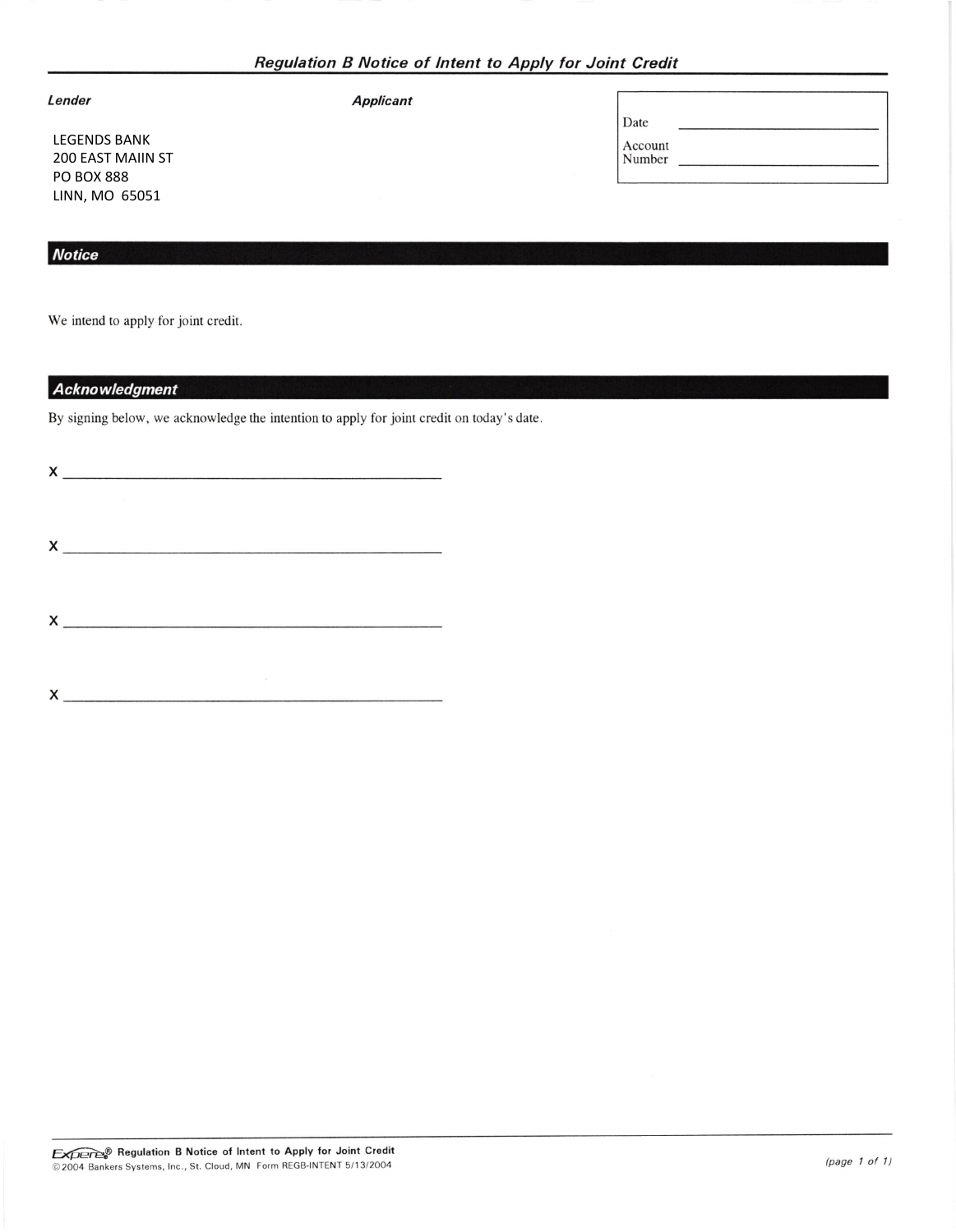| Regulation B Notice of Intent to Apply for Joint Credit |  |
|---------------------------------------------------------|--|
|---------------------------------------------------------|--|

Applicant

|  | Lender |  |
|--|--------|--|
|  |        |  |

LEGENDS BANK 200 EAST MAIIN ST PO BOX 888 LINN, MO 65051

## **Notice**

We intend to apply for joint credit.

## **Acknowledgment**

By signing below, we acknowledge the intention to apply for joint credit on today's date

 $x$  and  $x$  and  $x$  and  $x$  and  $x$  and  $x$  and  $x$  and  $x$  and  $x$  and  $x$  and  $x$  and  $x$  and  $x$  and  $x$  and  $x$  and  $x$  and  $x$  and  $x$  and  $x$  and  $x$  and  $x$  and  $x$  and  $x$  and  $x$  and  $x$  and  $x$  and  $x$  and  $x$  a x

 $x \overline{)}$ 

x

| Date              |  |  |  |
|-------------------|--|--|--|
| Account<br>Number |  |  |  |
|                   |  |  |  |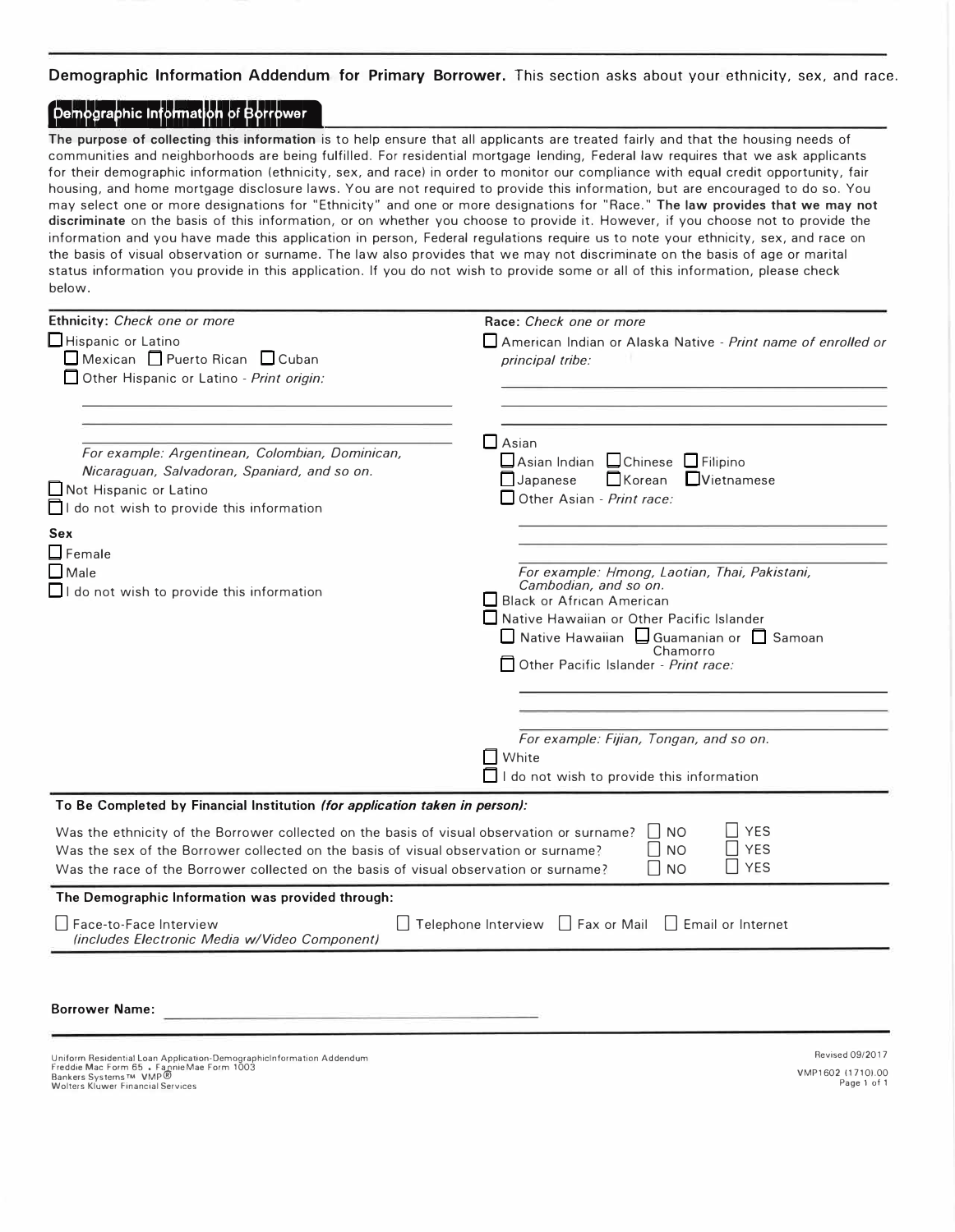**Demographic Information Addendum for Primary Borrower.** This section asks about your ethnicity, sex, and race.

# **Demographic Information of Borrower**

**The purpose of collecting this information** is to help ensure that all applicants are treated fairly and that the housing needs of communities and neighborhoods are being fulfilled. For residential mortgage lending, Federal law requires that we ask applicants for their demographic information (ethnicity, sex, and race) in order to monitor our compliance with equal credit opportunity, fair housing, and home mortgage disclosure laws. You are not required to provide this information, but are encouraged to do so. You may select one or more designations for "Ethnicity" and one or more designations for "Race." **The law provides that we may not discriminate** on the basis of this information, or on whether you choose to provide it. However, if you choose not to provide the information and you have made this application in person, Federal regulations require us to note your ethnicity, sex, and race on the basis of visual observation or surname. The law also provides that we may not discriminate on the basis of age or marital status information you provide in this application. If you do not wish to provide some or all of this information, please check below.

| Ethnicity: Check one or more                                                                                                                                                                                                                                                | Race: Check one or more                                                                                                                                                                                                                             |  |  |
|-----------------------------------------------------------------------------------------------------------------------------------------------------------------------------------------------------------------------------------------------------------------------------|-----------------------------------------------------------------------------------------------------------------------------------------------------------------------------------------------------------------------------------------------------|--|--|
| Hispanic or Latino<br>$\Box$ Mexican $\Box$ Puerto Rican $\Box$ Cuban<br>Other Hispanic or Latino - Print origin:                                                                                                                                                           | American Indian or Alaska Native - Print name of enrolled or<br>principal tribe:                                                                                                                                                                    |  |  |
| For example: Argentinean, Colombian, Dominican,<br>Nicaraguan, Salvadoran, Spaniard, and so on.<br>Not Hispanic or Latino<br>I do not wish to provide this information<br>Sex                                                                                               | Asian<br>Asian Indian Chinese Filipino<br>Korean<br>$L$ Vietnamese<br>$\Box$ Japanese<br>$\Box$ Other Asian - Print race:                                                                                                                           |  |  |
| $\Box$ Female<br>$\Box$ Male<br>$\Box$ I do not wish to provide this information                                                                                                                                                                                            | For example: Hmong, Laotian, Thai, Pakistani,<br>Cambodian, and so on.<br>Black or African American<br>Native Hawaiian or Other Pacific Islander<br>□ Native Hawaiian □ Guamanian or □ Samoan<br>Chamorro<br>  Other Pacific Islander - Print race: |  |  |
|                                                                                                                                                                                                                                                                             |                                                                                                                                                                                                                                                     |  |  |
|                                                                                                                                                                                                                                                                             | For example: Fijian, Tongan, and so on.<br>  White<br>$\Box$ I do not wish to provide this information                                                                                                                                              |  |  |
| To Be Completed by Financial Institution (for application taken in person):                                                                                                                                                                                                 |                                                                                                                                                                                                                                                     |  |  |
| Was the ethnicity of the Borrower collected on the basis of visual observation or surname?<br>Was the sex of the Borrower collected on the basis of visual observation or surname?<br>Was the race of the Borrower collected on the basis of visual observation or surname? | <b>YES</b><br><b>NO</b><br><b>YES</b><br><b>NO</b><br>l I yes<br><b>NO</b>                                                                                                                                                                          |  |  |
| The Demographic Information was provided through:                                                                                                                                                                                                                           |                                                                                                                                                                                                                                                     |  |  |
| Face-to-Face Interview<br>(includes Electronic Media w/Video Component)                                                                                                                                                                                                     | $\Box$ Telephone Interview $\Box$ Fax or Mail<br>  Email or Internet                                                                                                                                                                                |  |  |
| <b>Borrower Name:</b>                                                                                                                                                                                                                                                       |                                                                                                                                                                                                                                                     |  |  |
| Uniform Residential Loan Application-DemographicInformation Addendum<br>Freddie Mac Form 65 · Fannie Mae Form 1003<br>Bankers Systems™ VMP®                                                                                                                                 | <b>Revised 09/2017</b><br>VMP1602 (1710).00                                                                                                                                                                                                         |  |  |

Page 1 of 1

Wolters Kluwer Financial Services